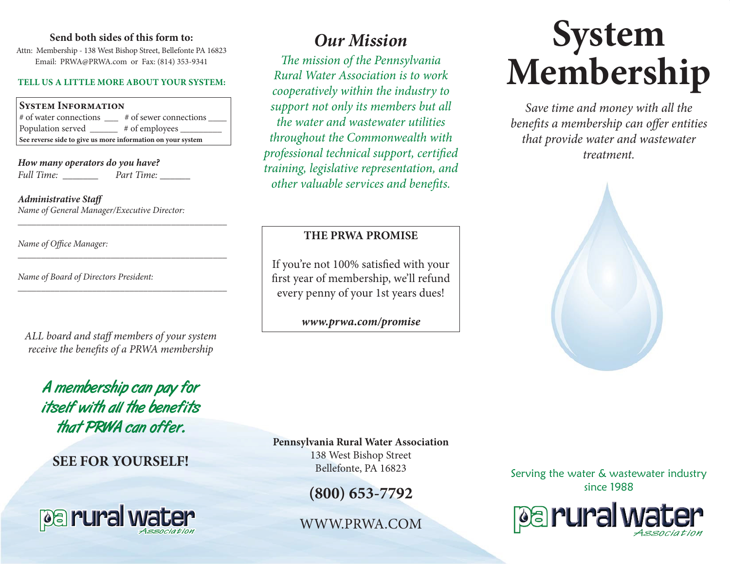### Send both sides of this form to:  $\Omega$ **ur Mission**

Attn: Membership - 138 West Bishop Street, Bellefonte PA 16823 Email: PRWA@PRWA.com or Fax: (814) 353-9341

### **TELL US A LITTLE MORE ABOUT YOUR SYSTEM:**

### **System Information** # of water connections \_\_\_\_ # of sewer connections \_ Population served # of employees **See reverse side to give us more information on your system**

\_\_\_\_\_\_\_\_\_\_\_\_\_\_\_\_\_\_\_\_\_\_\_\_\_\_\_\_\_\_\_\_\_\_\_\_\_\_\_\_\_\_\_\_\_

*\_\_\_\_\_\_\_\_\_\_\_\_\_\_\_\_\_\_\_\_\_\_\_\_\_\_\_\_\_\_\_\_\_\_\_\_\_\_\_\_\_\_\_\_\_*

*\_\_\_\_\_\_\_\_\_\_\_\_\_\_\_\_\_\_\_\_\_\_\_\_\_\_\_\_\_\_\_\_\_\_\_\_\_\_\_\_\_\_\_\_\_*

*How many operators do you have? Full Time: \_\_\_\_\_\_\_ Part Time: \_\_\_\_\_\_*

*Administrative Staff Name of General Manager/Executive Director:*

*Name of Office Manager:*

*Name of Board of Directors President:*

*ALL board and staff members of your system receive the benefits of a PRWA membership*

A membership can pay for itself with all the benefits that PRWA can offer.

## **SEE FOR YOURSELF!**



*The mission of the Pennsylvania Rural Water Association is to work cooperatively within the industry to support not only its members but all the water and wastewater utilities throughout the Commonwealth with professional technical support, certified training, legislative representation, and other valuable services and benefits.*

### **THE PRWA PROMISE**

If you're not 100% satisfied with your first year of membership, we'll refund every penny of your 1st years dues!

### *www.prwa.com/promise*

# **System Membership**

*Save time and money with all the benefits a membership can offer entities that provide water and wastewater treatment.*



### **Pennsylvania Rural Water Association**

138 West Bishop Street Bellefonte, PA 16823

**(800) 653-7792**

WWW.PRWA.COM

Serving the water & wastewater industry since 1988